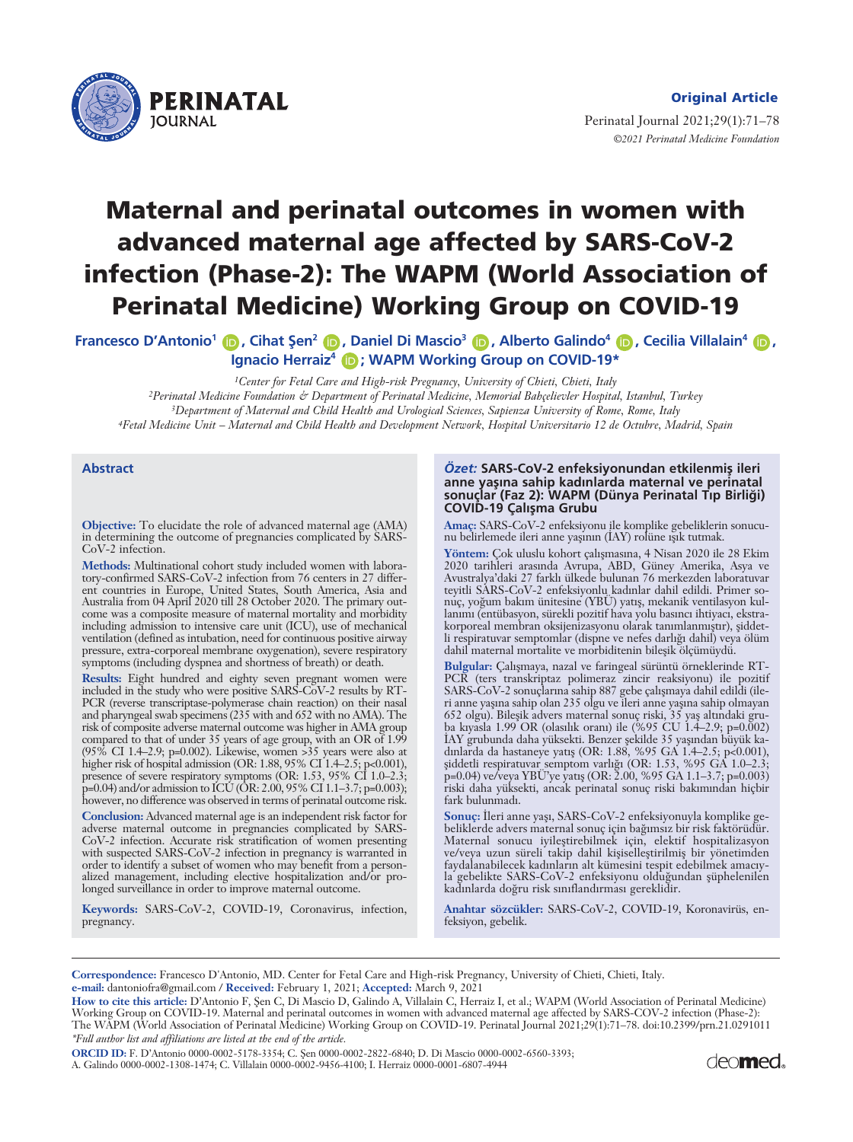

#### **Original Article**

Perinatal Journal 2021;29(1):71–78 *©2021 Perinatal Medicine Foundation* 

# **Maternal and perinatal outcomes in women with advanced maternal age affected by SARS-CoV-2 infection (Phase-2): The WAPM (World Association of Perinatal Medicine) Working Group on COVID-19**

**Francesco D'Antonio<sup>1</sup> (D</sup>, Cihat Şen<sup>2</sup> (D, Daniel Di Mascio<sup>3</sup> (D, Alberto Galindo<sup>4</sup> (D, Cecilia Villalain<sup>4</sup> (D, Ignacio Herraiz<sup>4</sup> D; WAPM Working Group on COVID-19\*** 

*1Center for Fetal Care and High-risk Pregnancy, University of Chieti, Chieti, Italy*

*2Perinatal Medicine Foundation & Department of Perinatal Medicine, Memorial Bahçelievler Hospital, Istanbul, Turkey 3Department of Maternal and Child Health and Urological Sciences, Sapienza University of Rome, Rome, Italy 4Fetal Medicine Unit – Maternal and Child Health and Development Network, Hospital Universitario 12 de Octubre, Madrid, Spain*

#### **Abstract**

**Objective:** To elucidate the role of advanced maternal age (AMA) in determining the outcome of pregnancies complicated by SARS-CoV-2 infection.

**Methods:** Multinational cohort study included women with laboratory-confirmed SARS-CoV-2 infection from 76 centers in 27 different countries in Europe, United States, South America, Asia and Australia from 04 April 2020 till 28 October 2020. The primary outcome was a composite measure of maternal mortality and morbidity including admission to intensive care unit (ICU), use of mechanical ventilation (defined as intubation, need for continuous positive airway pressure, extra-corporeal membrane oxygenation), severe respiratory symptoms (including dyspnea and shortness of breath) or death.

**Results:** Eight hundred and eighty seven pregnant women were included in the study who were positive SARS-CoV-2 results by RT-PCR (reverse transcriptase-polymerase chain reaction) on their nasal and pharyngeal swab specimens (235 with and 652 with no AMA). The risk of composite adverse maternal outcome was higher in AMA group compared to that of under 35 years of age group, with an OR of 1.99 (95% CI 1.4–2.9; p=0.002). Likewise, women >35 years were also at higher risk of hospital admission (OR: 1.88, 95% CI 1.4–2.5; p<0.001), presence of severe respiratory symptoms (OR: 1.53, 95% CI 1.0–2.3; p=0.04) and/or admission to ICU (OR: 2.00, 95% CI 1.1–3.7; p=0.003); however, no difference was observed in terms of perinatal outcome risk.

**Conclusion:** Advanced maternal age is an independent risk factor for adverse maternal outcome in pregnancies complicated by SARS-CoV-2 infection. Accurate risk stratification of women presenting with suspected SARS-CoV-2 infection in pregnancy is warranted in order to identify a subset of women who may benefit from a personalized management, including elective hospitalization and/or prolonged surveillance in order to improve maternal outcome.

**Keywords:** SARS-CoV-2, COVID-19, Coronavirus, infection, pregnancy.

#### Özet: SARS-CoV-2 enfeksiyonundan etkilenmiş ileri anne yaşına sahip kadınlarda maternal ve perinatal sonuçlar (Faz 2): WAPM (Dünya Perinatal Tıp Birliği) **COVID-19 Çalışma Grubu**

**Amaç:** SARS-CoV-2 enfeksiyonu ile komplike gebeliklerin sonucunu belirlemede ileri anne yaşının (IAY) rolüne ışık tutmak.

Yöntem: Çok uluslu kohort çalışmasına, 4 Nisan 2020 ile 28 Ekim 2020 tarihleri arasında Avrupa, ABD, Güney Amerika, Asya ve Avustralya'daki 27 farklı ülkede bulunan 76 merkezden laboratuvar teyitli SARS-CoV-2 enfeksiyonlu kadınlar dahil edildi. Primer sonuç, yoğum bakım ünitesine (YBU) yatış, mekanik ventilasyon kullanımı (entübasyon, sürekli pozitif hava yolu basıncı ihtiyacı, ekstrakorporeal membran oksijenizasyonu olarak tanımlanmıştır), şiddetli respiratuvar semptomlar (dispne ve nefes darlığı dahil) veya ölüm dahil maternal mortalite ve morbiditenin bileşik ölçümüydü.

Bulgular: Çalışmaya, nazal ve faringeal sürüntü örneklerinde RT-PCR (ters transkriptaz polimeraz zincir reaksiyonu) ile pozitif SARS-CoV-2 sonuçlarına sahip 887 gebe çalışmaya dahil edildi (ileri anne yaşına sahip olan 235 olgu ve ileri anne yaşına sahip olmayan 652 olgu). Bileşik advers maternal sonuç riski, 35 yaş altındaki gruba kıyasla 1.99 OR (olasılık oranı) ile (%95 CU 1.4–2.9; p=0.002) IAY grubunda daha yüksekti. Benzer şekilde 35 yaşından büyük kadınlarda da hastaneye yatış (OR: 1.88, %95 GA 1.4–2.5; p<0.001), şiddetli respiratuvar semptom varlığı (OR: 1.53, %95 GA 1.0–2.3; p=0.04) ve/veya YBU'ye yatış (OR: 2.00, %95 GA 1.1–3.7; p=0.003) riski daha yüksekti, ancak perinatal sonuç riski bakımından hiçbir fark bulunmadı.

Sonuç: İleri anne yaşı, SARS-CoV-2 enfeksiyonuyla komplike gebeliklerde advers maternal sonuç için bağımsız bir risk faktörüdür. Maternal sonucu iyileştirebilmek için, elektif hospitalizasyon ve/veya uzun süreli takip dahil kişiselleştirilmiş bir yönetimden faydalanabilecek kadınların alt kümesini tespit edebilmek amacıyla gebelikte SARS-CoV-2 enfeksiyonu olduğundan şüphelenilen kadınlarda doğru risk sınıflandırması gereklidir.

**Anahtar sözcükler:** SARS-CoV-2, COVID-19, Koronavirüs, enfeksiyon, gebelik.

**Correspondence:** Francesco D'Antonio, MD. Center for Fetal Care and High-risk Pregnancy, University of Chieti, Chieti, Italy. **e-mail:** dantoniofra@gmail.com / **Received:** February 1, 2021; **Accepted:** March 9, 2021

How to cite this article: D'Antonio F, Sen C, Di Mascio D, Galindo A, Villalain C, Herraiz I, et al.; WAPM (World Association of Perinatal Medicine) Working Group on COVID-19. Maternal and perinatal outcomes in women with advanced maternal age affected by SARS-COV-2 infection (Phase-2): The WAPM (World Association of Perinatal Medicine) Working Group on COVID-19. Perinatal Journal 2021;29(1):71–78. doi:10.2399/prn.21.0291011 *\*Full author list and affiliations are listed at the end of the article.*

**ORCID ID:** F. D'Antonio 0000-0002-5178-3354; C. fien 0000-0002-2822-6840; D. Di Mascio 0000-0002-6560-3393; A. Galindo 0000-0002-1308-1474; C. Villalain 0000-0002-9456-4100; I. Herraiz 0000-0001-6807-4944

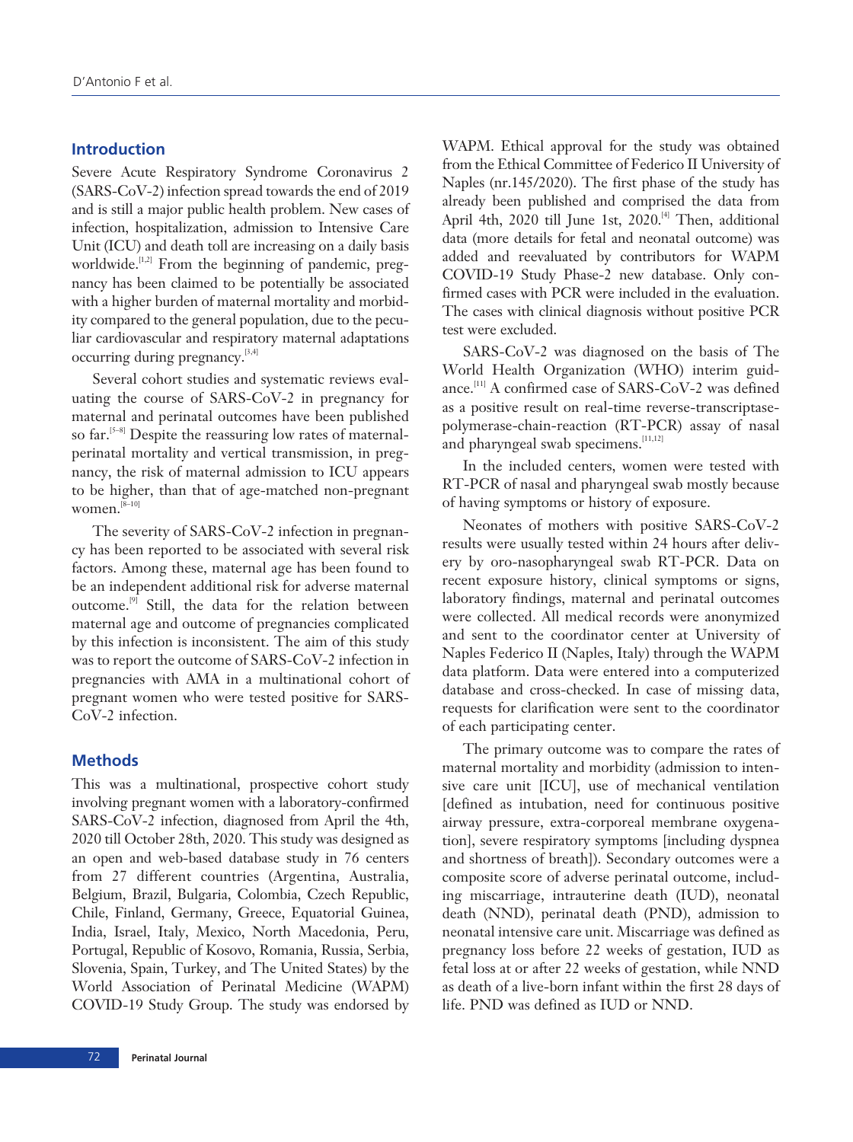### **Introduction**

Severe Acute Respiratory Syndrome Coronavirus 2 (SARS-CoV-2) infection spread towards the end of 2019 and is still a major public health problem. New cases of infection, hospitalization, admission to Intensive Care Unit (ICU) and death toll are increasing on a daily basis worldwide. $[1,2]$  From the beginning of pandemic, pregnancy has been claimed to be potentially be associated with a higher burden of maternal mortality and morbidity compared to the general population, due to the peculiar cardiovascular and respiratory maternal adaptations occurring during pregnancy.<sup>[3,4]</sup>

Several cohort studies and systematic reviews evaluating the course of SARS-CoV-2 in pregnancy for maternal and perinatal outcomes have been published so far.<sup>[5-8]</sup> Despite the reassuring low rates of maternalperinatal mortality and vertical transmission, in pregnancy, the risk of maternal admission to ICU appears to be higher, than that of age-matched non-pregnant women. $^{[8-10]}$ 

The severity of SARS-CoV-2 infection in pregnancy has been reported to be associated with several risk factors. Among these, maternal age has been found to be an independent additional risk for adverse maternal outcome.[9] Still, the data for the relation between maternal age and outcome of pregnancies complicated by this infection is inconsistent. The aim of this study was to report the outcome of SARS-CoV-2 infection in pregnancies with AMA in a multinational cohort of pregnant women who were tested positive for SARS-CoV-2 infection.

#### **Methods**

This was a multinational, prospective cohort study involving pregnant women with a laboratory-confirmed SARS-CoV-2 infection, diagnosed from April the 4th, 2020 till October 28th, 2020. This study was designed as an open and web-based database study in 76 centers from 27 different countries (Argentina, Australia, Belgium, Brazil, Bulgaria, Colombia, Czech Republic, Chile, Finland, Germany, Greece, Equatorial Guinea, India, Israel, Italy, Mexico, North Macedonia, Peru, Portugal, Republic of Kosovo, Romania, Russia, Serbia, Slovenia, Spain, Turkey, and The United States) by the World Association of Perinatal Medicine (WAPM) COVID-19 Study Group. The study was endorsed by WAPM. Ethical approval for the study was obtained from the Ethical Committee of Federico II University of Naples (nr.145/2020). The first phase of the study has already been published and comprised the data from April 4th, 2020 till June 1st, 2020.<sup>[4]</sup> Then, additional data (more details for fetal and neonatal outcome) was added and reevaluated by contributors for WAPM COVID-19 Study Phase-2 new database. Only confirmed cases with PCR were included in the evaluation. The cases with clinical diagnosis without positive PCR test were excluded.

SARS-CoV-2 was diagnosed on the basis of The World Health Organization (WHO) interim guidance.<sup>[11]</sup> A confirmed case of SARS-CoV-2 was defined as a positive result on real-time reverse-transcriptasepolymerase-chain-reaction (RT-PCR) assay of nasal and pharyngeal swab specimens.<sup>[11,12]</sup>

In the included centers, women were tested with RT-PCR of nasal and pharyngeal swab mostly because of having symptoms or history of exposure.

Neonates of mothers with positive SARS-CoV-2 results were usually tested within 24 hours after delivery by oro-nasopharyngeal swab RT-PCR. Data on recent exposure history, clinical symptoms or signs, laboratory findings, maternal and perinatal outcomes were collected. All medical records were anonymized and sent to the coordinator center at University of Naples Federico II (Naples, Italy) through the WAPM data platform. Data were entered into a computerized database and cross-checked. In case of missing data, requests for clarification were sent to the coordinator of each participating center.

The primary outcome was to compare the rates of maternal mortality and morbidity (admission to intensive care unit [ICU], use of mechanical ventilation [defined as intubation, need for continuous positive airway pressure, extra-corporeal membrane oxygenation], severe respiratory symptoms [including dyspnea and shortness of breath]). Secondary outcomes were a composite score of adverse perinatal outcome, including miscarriage, intrauterine death (IUD), neonatal death (NND), perinatal death (PND), admission to neonatal intensive care unit. Miscarriage was defined as pregnancy loss before 22 weeks of gestation, IUD as fetal loss at or after 22 weeks of gestation, while NND as death of a live-born infant within the first 28 days of life. PND was defined as IUD or NND.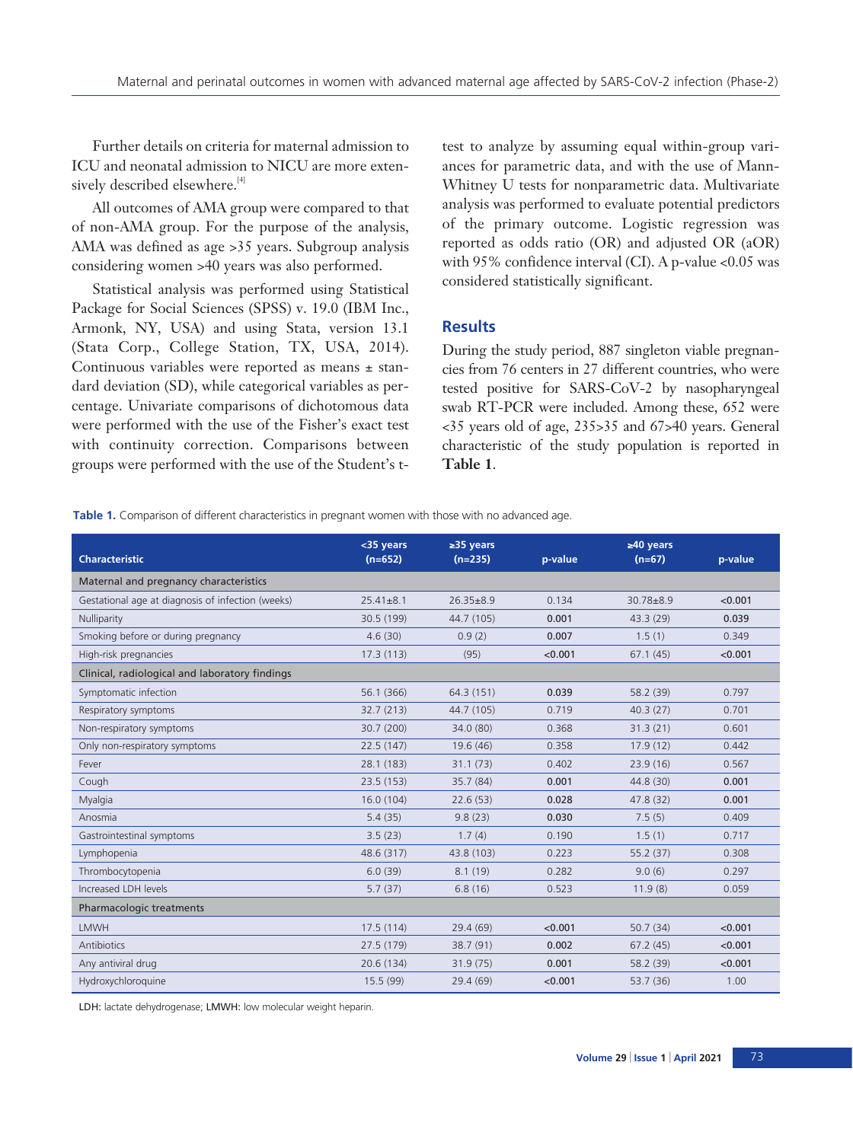Further details on criteria for maternal admission to ICU and neonatal admission to NICU are more extensively described elsewhere.<sup>[4]</sup>

All outcomes of AMA group were compared to that of non-AMA group. For the purpose of the analysis, AMA was defined as age >35 years. Subgroup analysis considering women >40 years was also performed.

Statistical analysis was performed using Statistical Package for Social Sciences (SPSS) v. 19.0 (IBM Inc., Armonk, NY, USA) and using Stata, version 13.1 (Stata Corp., College Station, TX, USA, 2014). Continuous variables were reported as means ± standard deviation (SD), while categorical variables as percentage. Univariate comparisons of dichotomous data were performed with the use of the Fisher's exact test with continuity correction. Comparisons between groups were performed with the use of the Student's ttest to analyze by assuming equal within-group variances for parametric data, and with the use of Mann-Whitney U tests for nonparametric data. Multivariate analysis was performed to evaluate potential predictors of the primary outcome. Logistic regression was reported as odds ratio (OR) and adjusted OR (aOR) with 95% confidence interval (CI). A p-value <0.05 was considered statistically significant.

### **Results**

During the study period, 887 singleton viable pregnancies from 76 centers in 27 different countries, who were tested positive for SARS-CoV-2 by nasopharyngeal swab RT-PCR were included. Among these, 652 were <35 years old of age, 235>35 and 67>40 years. General characteristic of the study population is reported in **Table 1**.

**Table 1.** Comparison of different characteristics in pregnant women with those with no advanced age.

|                                                   | <35 years       | $\geq$ 35 years |         | $\geq 40$ years |         |
|---------------------------------------------------|-----------------|-----------------|---------|-----------------|---------|
| <b>Characteristic</b>                             | $(n=652)$       | $(n=235)$       | p-value | $(n=67)$        | p-value |
| Maternal and pregnancy characteristics            |                 |                 |         |                 |         |
| Gestational age at diagnosis of infection (weeks) | $25.41 \pm 8.1$ | $26.35 \pm 8.9$ | 0.134   | $30.78 + 8.9$   | < 0.001 |
| Nulliparity                                       | 30.5 (199)      | 44.7 (105)      | 0.001   | 43.3 (29)       | 0.039   |
| Smoking before or during pregnancy                | 4.6(30)         | 0.9(2)          | 0.007   | 1.5(1)          | 0.349   |
| High-risk pregnancies                             | 17.3(113)       | (95)            | < 0.001 | 67.1(45)        | < 0.001 |
| Clinical, radiological and laboratory findings    |                 |                 |         |                 |         |
| Symptomatic infection                             | 56.1 (366)      | 64.3 (151)      | 0.039   | 58.2 (39)       | 0.797   |
| Respiratory symptoms                              | 32.7 (213)      | 44.7 (105)      | 0.719   | 40.3(27)        | 0.701   |
| Non-respiratory symptoms                          | 30.7 (200)      | 34.0 (80)       | 0.368   | 31.3(21)        | 0.601   |
| Only non-respiratory symptoms                     | 22.5(147)       | 19.6 (46)       | 0.358   | 17.9(12)        | 0.442   |
| Fever                                             | 28.1 (183)      | 31.1(73)        | 0.402   | 23.9(16)        | 0.567   |
| Cough                                             | 23.5(153)       | 35.7(84)        | 0.001   | 44.8 (30)       | 0.001   |
| Myalgia                                           | 16.0(104)       | 22.6(53)        | 0.028   | 47.8 (32)       | 0.001   |
| Anosmia                                           | 5.4(35)         | 9.8(23)         | 0.030   | 7.5(5)          | 0.409   |
| Gastrointestinal symptoms                         | 3.5(23)         | 1.7(4)          | 0.190   | 1.5(1)          | 0.717   |
| Lymphopenia                                       | 48.6 (317)      | 43.8 (103)      | 0.223   | 55.2(37)        | 0.308   |
| Thrombocytopenia                                  | 6.0(39)         | 8.1(19)         | 0.282   | 9.0(6)          | 0.297   |
| Increased LDH levels                              | 5.7(37)         | 6.8(16)         | 0.523   | 11.9(8)         | 0.059   |
| Pharmacologic treatments                          |                 |                 |         |                 |         |
| <b>LMWH</b>                                       | 17.5(114)       | 29.4(69)        | < 0.001 | 50.7(34)        | < 0.001 |
| <b>Antibiotics</b>                                | 27.5 (179)      | 38.7 (91)       | 0.002   | 67.2(45)        | < 0.001 |
| Any antiviral drug                                | 20.6 (134)      | 31.9(75)        | 0.001   | 58.2 (39)       | < 0.001 |
| Hydroxychloroquine                                | 15.5(99)        | 29.4(69)        | < 0.001 | 53.7 (36)       | 1.00    |

LDH: lactate dehydrogenase; LMWH: low molecular weight heparin.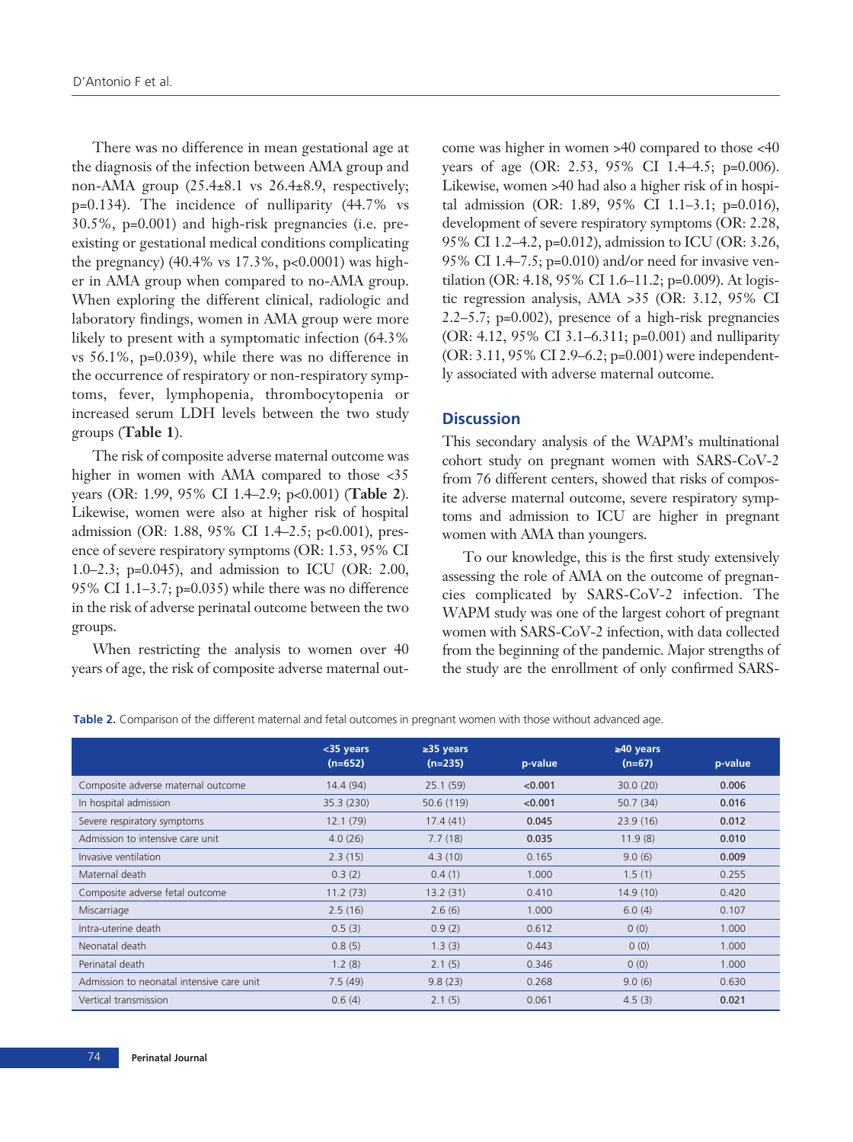There was no difference in mean gestational age at the diagnosis of the infection between AMA group and non-AMA group  $(25.4\pm8.1 \text{ vs } 26.4\pm8.9, \text{ respectively};$ p=0.134). The incidence of nulliparity (44.7% vs 30.5%, p=0.001) and high-risk pregnancies (i.e. preexisting or gestational medical conditions complicating the pregnancy) (40.4% vs 17.3%, p<0.0001) was higher in AMA group when compared to no-AMA group. When exploring the different clinical, radiologic and laboratory findings, women in AMA group were more likely to present with a symptomatic infection (64.3% vs 56.1%, p=0.039), while there was no difference in the occurrence of respiratory or non-respiratory symptoms, fever, lymphopenia, thrombocytopenia or increased serum LDH levels between the two study groups (**Table 1**).

The risk of composite adverse maternal outcome was higher in women with AMA compared to those <35 years (OR: 1.99, 95% CI 1.4–2.9; p<0.001) (**Table 2**). Likewise, women were also at higher risk of hospital admission (OR: 1.88, 95% CI 1.4–2.5; p<0.001), presence of severe respiratory symptoms (OR: 1.53, 95% CI 1.0–2.3; p=0.045), and admission to ICU (OR: 2.00, 95% CI 1.1–3.7;  $p=0.035$ ) while there was no difference in the risk of adverse perinatal outcome between the two groups.

When restricting the analysis to women over 40 years of age, the risk of composite adverse maternal outcome was higher in women >40 compared to those <40 years of age (OR: 2.53, 95% CI 1.4–4.5; p=0.006). Likewise, women >40 had also a higher risk of in hospital admission (OR: 1.89, 95% CI 1.1–3.1; p=0.016), development of severe respiratory symptoms (OR: 2.28, 95% CI 1.2–4.2, p=0.012), admission to ICU (OR: 3.26, 95% CI 1.4–7.5; p=0.010) and/or need for invasive ventilation (OR: 4.18, 95% CI 1.6–11.2; p=0.009). At logistic regression analysis, AMA >35 (OR: 3.12, 95% CI 2.2–5.7; p=0.002), presence of a high-risk pregnancies (OR: 4.12, 95% CI 3.1–6.311; p=0.001) and nulliparity (OR: 3.11, 95% CI 2.9–6.2; p=0.001) were independently associated with adverse maternal outcome.

# **Discussion**

This secondary analysis of the WAPM's multinational cohort study on pregnant women with SARS-CoV-2 from 76 different centers, showed that risks of composite adverse maternal outcome, severe respiratory symptoms and admission to ICU are higher in pregnant women with AMA than youngers.

To our knowledge, this is the first study extensively assessing the role of AMA on the outcome of pregnancies complicated by SARS-CoV-2 infection. The WAPM study was one of the largest cohort of pregnant women with SARS-CoV-2 infection, with data collected from the beginning of the pandemic. Major strengths of the study are the enrollment of only confirmed SARS-

**Table 2.** Comparison of the different maternal and fetal outcomes in pregnant women with those without advanced age.

|                                           | <35 years<br>$(n=652)$ | $\geq$ 35 years<br>$(n=235)$ | p-value | $\geq 40$ years<br>$(n=67)$ | p-value |
|-------------------------------------------|------------------------|------------------------------|---------|-----------------------------|---------|
| Composite adverse maternal outcome        | 14.4(94)               | 25.1(59)                     | < 0.001 | 30.0(20)                    | 0.006   |
| In hospital admission                     | 35.3 (230)             | 50.6 (119)                   | < 0.001 | 50.7(34)                    | 0.016   |
| Severe respiratory symptoms               | 12.1(79)               | 17.4(41)                     | 0.045   | 23.9(16)                    | 0.012   |
| Admission to intensive care unit          | 4.0(26)                | 7.7(18)                      | 0.035   | 11.9(8)                     | 0.010   |
| Invasive ventilation                      | 2.3(15)                | 4.3(10)                      | 0.165   | 9.0(6)                      | 0.009   |
| Maternal death                            | 0.3(2)                 | 0.4(1)                       | 1.000   | 1.5(1)                      | 0.255   |
| Composite adverse fetal outcome           | 11.2(73)               | 13.2(31)                     | 0.410   | 14.9(10)                    | 0.420   |
| Miscarriage                               | 2.5(16)                | 2.6(6)                       | 1.000   | 6.0(4)                      | 0.107   |
| Intra-uterine death                       | 0.5(3)                 | 0.9(2)                       | 0.612   | 0(0)                        | 1.000   |
| Neonatal death                            | 0.8(5)                 | 1.3(3)                       | 0.443   | 0(0)                        | 1.000   |
| Perinatal death                           | 1.2(8)                 | 2.1(5)                       | 0.346   | 0(0)                        | 1.000   |
| Admission to neonatal intensive care unit | 7.5(49)                | 9.8(23)                      | 0.268   | 9.0(6)                      | 0.630   |
| Vertical transmission                     | 0.6(4)                 | 2.1(5)                       | 0.061   | 4.5(3)                      | 0.021   |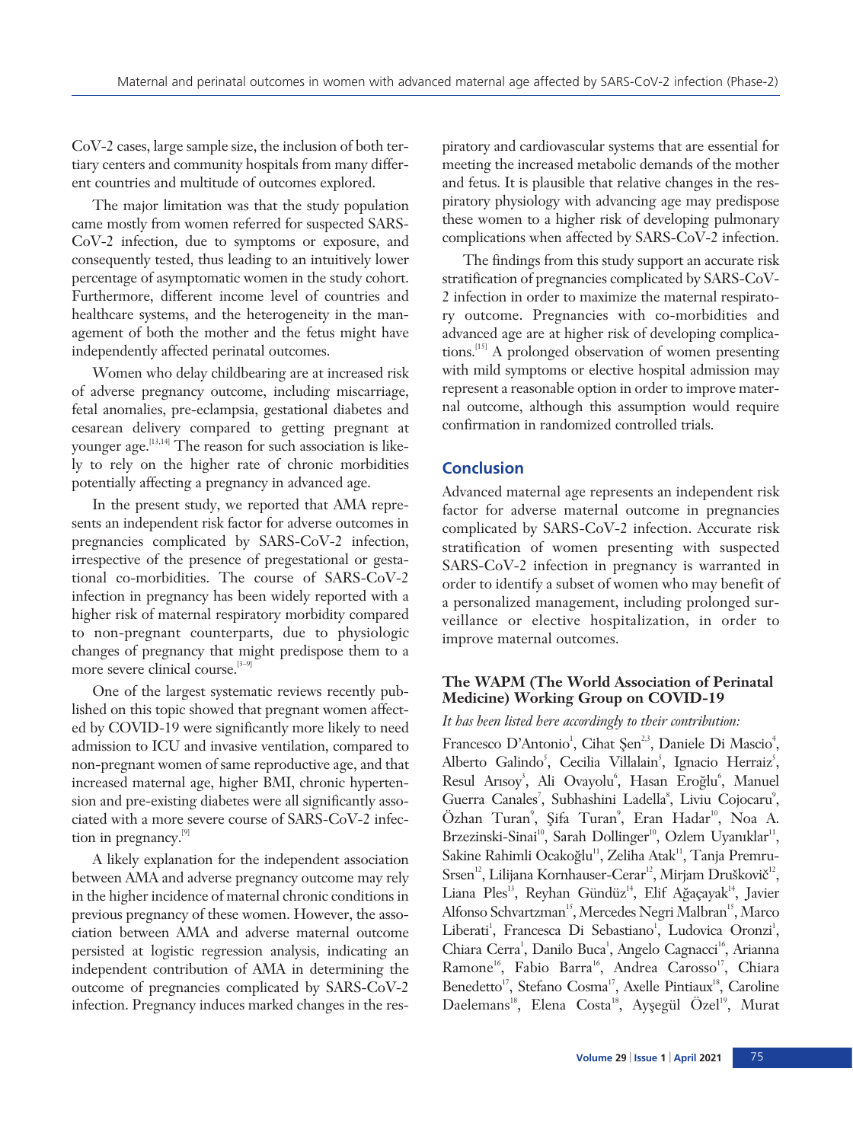CoV-2 cases, large sample size, the inclusion of both tertiary centers and community hospitals from many different countries and multitude of outcomes explored.

The major limitation was that the study population came mostly from women referred for suspected SARS-CoV-2 infection, due to symptoms or exposure, and consequently tested, thus leading to an intuitively lower percentage of asymptomatic women in the study cohort. Furthermore, different income level of countries and healthcare systems, and the heterogeneity in the management of both the mother and the fetus might have independently affected perinatal outcomes.

Women who delay childbearing are at increased risk of adverse pregnancy outcome, including miscarriage, fetal anomalies, pre-eclampsia, gestational diabetes and cesarean delivery compared to getting pregnant at younger age.[13,14] The reason for such association is likely to rely on the higher rate of chronic morbidities potentially affecting a pregnancy in advanced age.

In the present study, we reported that AMA represents an independent risk factor for adverse outcomes in pregnancies complicated by SARS-CoV-2 infection, irrespective of the presence of pregestational or gestational co-morbidities. The course of SARS-CoV-2 infection in pregnancy has been widely reported with a higher risk of maternal respiratory morbidity compared to non-pregnant counterparts, due to physiologic changes of pregnancy that might predispose them to a more severe clinical course. $[3-9]$ 

One of the largest systematic reviews recently published on this topic showed that pregnant women affected by COVID-19 were significantly more likely to need admission to ICU and invasive ventilation, compared to non-pregnant women of same reproductive age, and that increased maternal age, higher BMI, chronic hypertension and pre-existing diabetes were all significantly associated with a more severe course of SARS-CoV-2 infection in pregnancy.<sup>[9]</sup>

A likely explanation for the independent association between AMA and adverse pregnancy outcome may rely in the higher incidence of maternal chronic conditions in previous pregnancy of these women. However, the association between AMA and adverse maternal outcome persisted at logistic regression analysis, indicating an independent contribution of AMA in determining the outcome of pregnancies complicated by SARS-CoV-2 infection. Pregnancy induces marked changes in the res-

piratory and cardiovascular systems that are essential for meeting the increased metabolic demands of the mother and fetus. It is plausible that relative changes in the respiratory physiology with advancing age may predispose these women to a higher risk of developing pulmonary complications when affected by SARS-CoV-2 infection.

The findings from this study support an accurate risk stratification of pregnancies complicated by SARS-CoV-2 infection in order to maximize the maternal respiratory outcome. Pregnancies with co-morbidities and advanced age are at higher risk of developing complications.[15] A prolonged observation of women presenting with mild symptoms or elective hospital admission may represent a reasonable option in order to improve maternal outcome, although this assumption would require confirmation in randomized controlled trials.

# **Conclusion**

Advanced maternal age represents an independent risk factor for adverse maternal outcome in pregnancies complicated by SARS-CoV-2 infection. Accurate risk stratification of women presenting with suspected SARS-CoV-2 infection in pregnancy is warranted in order to identify a subset of women who may benefit of a personalized management, including prolonged surveillance or elective hospitalization, in order to improve maternal outcomes.

# **The WAPM (The World Association of Perinatal Medicine) Working Group on COVID-19**

### *It has been listed here accordingly to their contribution:*

Francesco D'Antonio<sup>1</sup>, Cihat Şen<sup>2,3</sup>, Daniele Di Mascio<sup>4</sup>, Alberto Galindo<sup>5</sup>, Cecilia Villalain<sup>5</sup>, Ignacio Herraiz<sup>5</sup>, Resul Arısoy<sup>3</sup>, Ali Ovayolu<sup>6</sup>, Hasan Eroğlu<sup>6</sup>, Manuel Guerra Canales<sup>7</sup>, Subhashini Ladella<sup>8</sup>, Liviu Cojocaru<sup>9</sup>, Özhan Turan<sup>9</sup>, Şifa Turan<sup>9</sup>, Eran Hadar<sup>10</sup>, Noa A. Brzezinski-Sinai<sup>10</sup>, Sarah Dollinger<sup>10</sup>, Ozlem Uyanıklar<sup>11</sup>, Sakine Rahimli Ocakoğlu<sup>11</sup>, Zeliha Atak<sup>11</sup>, Tanja Premru-Srsen<sup>12</sup>, Lilijana Kornhauser-Cerar<sup>12</sup>, Mirjam Druškovič<sup>12</sup>, Liana Ples<sup>13</sup>, Reyhan Gündüz<sup>14</sup>, Elif Ağaçayak<sup>14</sup>, Javier Alfonso Schvartzman<sup>15</sup>, Mercedes Negri Malbran<sup>15</sup>, Marco Liberati<sup>1</sup>, Francesca Di Sebastiano<sup>1</sup>, Ludovica Oronzi<sup>1</sup>, Chiara Cerra<sup>1</sup>, Danilo Buca<sup>1</sup>, Angelo Cagnacci<sup>16</sup>, Arianna Ramone<sup>16</sup>, Fabio Barra<sup>16</sup>, Andrea Carosso<sup>17</sup>, Chiara Benedetto<sup>17</sup>, Stefano Cosma<sup>17</sup>, Axelle Pintiaux<sup>18</sup>, Caroline Daelemans<sup>18</sup>, Elena Costa<sup>18</sup>, Ayşegül Özel<sup>19</sup>, Murat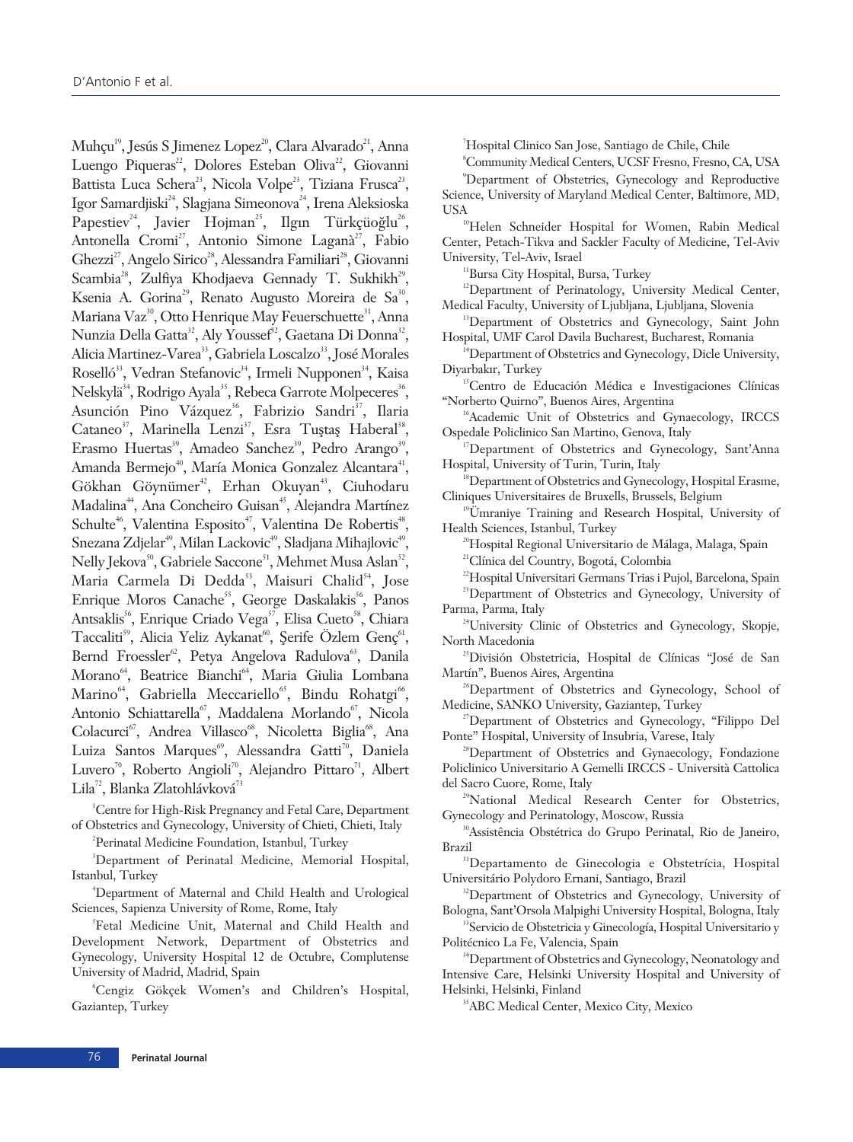Muhçu<sup>19</sup>, Jesús S Jimenez Lopez<sup>20</sup>, Clara Alvarado<sup>21</sup>, Anna Luengo Piqueras<sup>22</sup>, Dolores Esteban Oliva<sup>22</sup>, Giovanni Battista Luca Schera<sup>23</sup>, Nicola Volpe<sup>23</sup>, Tiziana Frusca<sup>23</sup>, Igor Samardjiski<sup>24</sup>, Slagjana Simeonova<sup>24</sup>, Irena Aleksioska Papestiev<sup>24</sup>, Javier Hojman<sup>25</sup>, Ilgın Türkçüoğlu<sup>26</sup>, Antonella Cromi<sup>27</sup>, Antonio Simone Laganà<sup>27</sup>, Fabio Ghezzi<sup>27</sup>, Angelo Sirico<sup>28</sup>, Alessandra Familiari<sup>28</sup>, Giovanni Scambia<sup>28</sup>, Zulfiya Khodjaeva Gennady T. Sukhikh<sup>29</sup>, Ksenia A. Gorina<sup>29</sup>, Renato Augusto Moreira de Sa<sup>30</sup>, Mariana Vaz<sup>30</sup>, Otto Henrique May Feuerschuette<sup>31</sup>, Anna Nunzia Della Gatta<sup>32</sup>, Aly Youssef<sup>32</sup>, Gaetana Di Donna<sup>32</sup>, Alicia Martinez-Varea<sup>33</sup>, Gabriela Loscalzo<sup>33</sup>, José Morales Roselló<sup>33</sup>, Vedran Stefanovic<sup>34</sup>, Irmeli Nupponen<sup>34</sup>, Kaisa Nelskylä<sup>34</sup>, Rodrigo Ayala<sup>35</sup>, Rebeca Garrote Molpeceres<sup>36</sup>, Asunción Pino Vázquez<sup>36</sup>, Fabrizio Sandri<sup>37</sup>, Ilaria Cataneo<sup>37</sup>, Marinella Lenzi<sup>37</sup>, Esra Tuștaș Haberal<sup>38</sup>, Erasmo Huertas<sup>39</sup>, Amadeo Sanchez<sup>39</sup>, Pedro Arango<sup>39</sup>, Amanda Bermejo<sup>40</sup>, María Monica Gonzalez Alcantara<sup>41</sup>, Gökhan Göynümer<sup>42</sup>, Erhan Okuyan<sup>43</sup>, Ciuhodaru Madalina<sup>44</sup>, Ana Concheiro Guisan<sup>45</sup>, Alejandra Martínez Schulte<sup>46</sup>, Valentina Esposito<sup>47</sup>, Valentina De Robertis<sup>48</sup>, Snezana Zdjelar<sup>49</sup>, Milan Lackovic<sup>49</sup>, Sladjana Mihajlovic<sup>49</sup>, Nelly Jekova<sup>50</sup>, Gabriele Saccone<sup>51</sup>, Mehmet Musa Aslan<sup>52</sup>, Maria Carmela Di Dedda<sup>53</sup>, Maisuri Chalid<sup>54</sup>, Jose Enrique Moros Canache<sup>55</sup>, George Daskalakis<sup>56</sup>, Panos Antsaklis<sup>56</sup>, Enrique Criado Vega<sup>57</sup>, Elisa Cueto<sup>58</sup>, Chiara Taccaliti<sup>59</sup>, Alicia Yeliz Aykanat<sup>60</sup>, Şerife Özlem Genç<sup>61</sup>, Bernd Froessler<sup>62</sup>, Petya Angelova Radulova<sup>63</sup>, Danila Morano<sup>64</sup>, Beatrice Bianchi<sup>64</sup>, Maria Giulia Lombana Marino<sup>64</sup>, Gabriella Meccariello<sup>65</sup>, Bindu Rohatgi<sup>66</sup>, Antonio Schiattarella<sup>67</sup>, Maddalena Morlando<sup>67</sup>, Nicola Colacurci<sup>67</sup>, Andrea Villasco<sup>68</sup>, Nicoletta Biglia<sup>68</sup>, Ana Luiza Santos Marques<sup>69</sup>, Alessandra Gatti<sup>70</sup>, Daniela Luvero<sup>70</sup>, Roberto Angioli<sup>70</sup>, Alejandro Pittaro<sup>71</sup>, Albert Lila<sup>72</sup>, Blanka Zlatohlávková<sup>73</sup>

1 Centre for High-Risk Pregnancy and Fetal Care, Department of Obstetrics and Gynecology, University of Chieti, Chieti, Italy

<sup>2</sup>Perinatal Medicine Foundation, Istanbul, Turkey

3 Department of Perinatal Medicine, Memorial Hospital, Istanbul, Turkey

4 Department of Maternal and Child Health and Urological Sciences, Sapienza University of Rome, Rome, Italy

5 Fetal Medicine Unit, Maternal and Child Health and Development Network, Department of Obstetrics and Gynecology, University Hospital 12 de Octubre, Complutense University of Madrid, Madrid, Spain

6 Cengiz Gökçek Women's and Children's Hospital, Gaziantep, Turkey

7 Hospital Clinico San Jose, Santiago de Chile, Chile

8 Community Medical Centers, UCSF Fresno, Fresno, CA, USA 9 Department of Obstetrics, Gynecology and Reproductive Science, University of Maryland Medical Center, Baltimore, MD, USA<br><sup>10</sup>Helen Schneider Hospital for Women, Rabin Medical

Center, Petach-Tikva and Sackler Faculty of Medicine, Tel-Aviv University, Tel-Aviv, Israel

<sup>11</sup>Bursa City Hospital, Bursa, Turkey

<sup>12</sup>Department of Perinatology, University Medical Center, Medical Faculty, University of Ljubljana, Ljubljana, Slovenia

<sup>13</sup>Department of Obstetrics and Gynecology, Saint John Hospital, UMF Carol Davila Bucharest, Bucharest, Romania

<sup>14</sup>Department of Obstetrics and Gynecology, Dicle University, Diyarbakır, Turkey

15Centro de Educación Médica e Investigaciones Clínicas "Norberto Quirno", Buenos Aires, Argentina

<sup>16</sup>Academic Unit of Obstetrics and Gynaecology, IRCCS Ospedale Policlinico San Martino, Genova, Italy

<sup>17</sup>Department of Obstetrics and Gynecology, Sant'Anna Hospital, University of Turin, Turin, Italy

<sup>18</sup>Department of Obstetrics and Gynecology, Hospital Erasme, Cliniques Universitaires de Bruxells, Brussels, Belgium

19Ümraniye Training and Research Hospital, University of Health Sciences, Istanbul, Turkey

<sup>20</sup>Hospital Regional Universitario de Málaga, Malaga, Spain 21Clínica del Country, Bogotá, Colombia

<sup>22</sup>Hospital Universitari Germans Trias i Pujol, Barcelona, Spain

<sup>23</sup>Department of Obstetrics and Gynecology, University of Parma, Parma, Italy

<sup>24</sup>University Clinic of Obstetrics and Gynecology, Skopje, North Macedonia

25División Obstetricia, Hospital de Clínicas "José de San Martín", Buenos Aires, Argentina

<sup>26</sup>Department of Obstetrics and Gynecology, School of Medicine, SANKO University, Gaziantep, Turkey

27Department of Obstetrics and Gynecology, "Filippo Del Ponte" Hospital, University of Insubria, Varese, Italy

28Department of Obstetrics and Gynaecology, Fondazione Policlinico Universitario A Gemelli IRCCS - Università Cattolica del Sacro Cuore, Rome, Italy

<sup>29</sup>National Medical Research Center for Obstetrics, Gynecology and Perinatology, Moscow, Russia

30Assistência Obstétrica do Grupo Perinatal, Rio de Janeiro, Brazil

31Departamento de Ginecologia e Obstetrícia, Hospital Universitário Polydoro Ernani, Santiago, Brazil

<sup>32</sup>Department of Obstetrics and Gynecology, University of Bologna, Sant'Orsola Malpighi University Hospital, Bologna, Italy

33Servicio de Obstetricia y Ginecología, Hospital Universitario y Politécnico La Fe, Valencia, Spain

<sup>34</sup>Department of Obstetrics and Gynecology, Neonatology and Intensive Care, Helsinki University Hospital and University of Helsinki, Helsinki, Finland

<sup>35</sup>ABC Medical Center, Mexico City, Mexico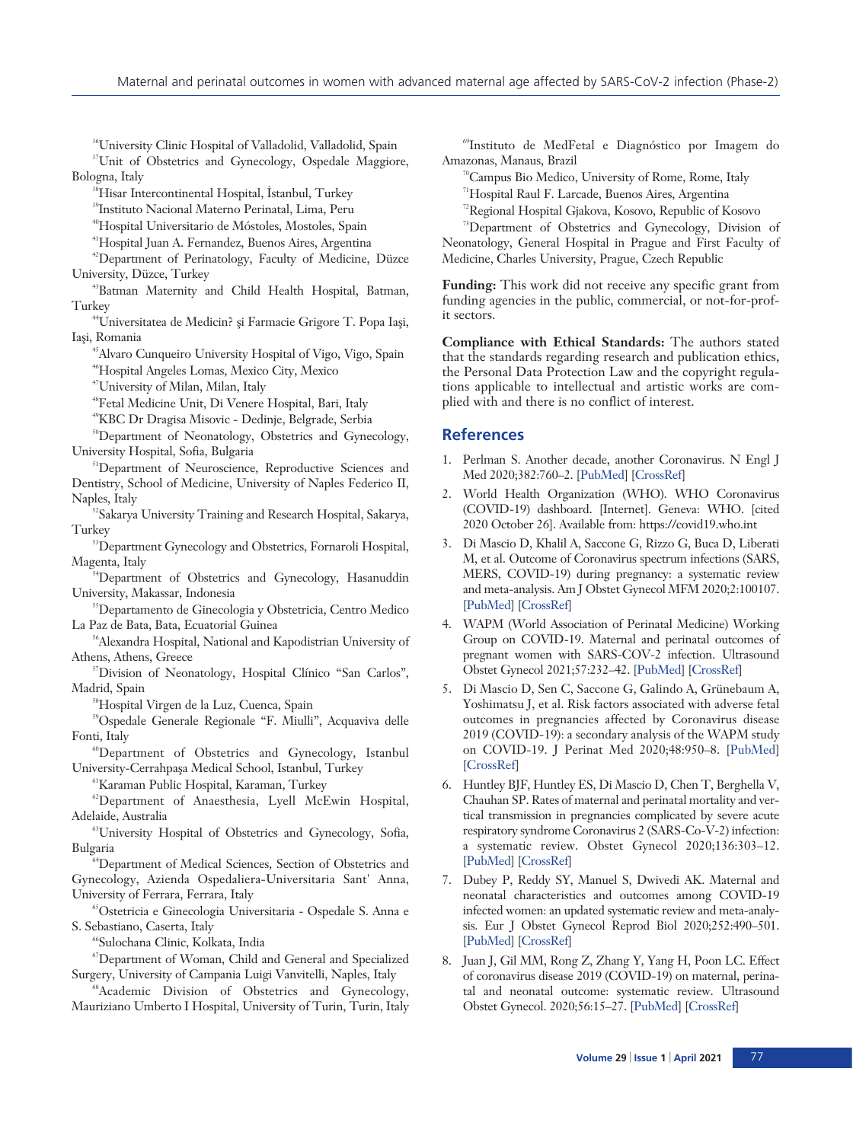36University Clinic Hospital of Valladolid, Valladolid, Spain

<sup>37</sup>Unit of Obstetrics and Gynecology, Ospedale Maggiore, Bologna, Italy

<sup>38</sup>Hisar Intercontinental Hospital, İstanbul, Turkey

39Instituto Nacional Materno Perinatal, Lima, Peru

40Hospital Universitario de Móstoles, Mostoles, Spain

41Hospital Juan A. Fernandez, Buenos Aires, Argentina

42Department of Perinatology, Faculty of Medicine, Düzce University, Düzce, Turkey

43Batman Maternity and Child Health Hospital, Batman, Turkey

<sup>44</sup>Universitatea de Medicin? și Farmacie Grigore T. Popa Iași, Iași, Romania

<sup>45</sup>Alvaro Cunqueiro University Hospital of Vigo, Vigo, Spain 46Hospital Angeles Lomas, Mexico City, Mexico

47University of Milan, Milan, Italy

48Fetal Medicine Unit, Di Venere Hospital, Bari, Italy

49KBC Dr Dragisa Misovic - Dedinje, Belgrade, Serbia

<sup>50</sup>Department of Neonatology, Obstetrics and Gynecology, University Hospital, Sofia, Bulgaria

<sup>51</sup>Department of Neuroscience, Reproductive Sciences and Dentistry, School of Medicine, University of Naples Federico II, Naples, Italy

<sup>52</sup>Sakarya University Training and Research Hospital, Sakarya, Turkey

<sup>53</sup>Department Gynecology and Obstetrics, Fornaroli Hospital, Magenta, Italy

<sup>54</sup>Department of Obstetrics and Gynecology, Hasanuddin University, Makassar, Indonesia

55Departamento de Ginecologia y Obstetricia, Centro Medico La Paz de Bata, Bata, Ecuatorial Guinea

56Alexandra Hospital, National and Kapodistrian University of Athens, Athens, Greece

57Division of Neonatology, Hospital Clínico "San Carlos", Madrid, Spain

58Hospital Virgen de la Luz, Cuenca, Spain

59Ospedale Generale Regionale "F. Miulli", Acquaviva delle Fonti, Italy

60Department of Obstetrics and Gynecology, Istanbul University-Cerrahpaşa Medical School, Istanbul, Turkey

61Karaman Public Hospital, Karaman, Turkey

62Department of Anaesthesia, Lyell McEwin Hospital, Adelaide, Australia

63University Hospital of Obstetrics and Gynecology, Sofia, Bulgaria

64Department of Medical Sciences, Section of Obstetrics and Gynecology, Azienda Ospedaliera-Universitaria Sant' Anna, University of Ferrara, Ferrara, Italy

65Ostetricia e Ginecologia Universitaria - Ospedale S. Anna e S. Sebastiano, Caserta, Italy

66Sulochana Clinic, Kolkata, India

67Department of Woman, Child and General and Specialized Surgery, University of Campania Luigi Vanvitelli, Naples, Italy

<sup>88</sup>Academic Division of Obstetrics and Gynecology, Mauriziano Umberto I Hospital, University of Turin, Turin, Italy

69Instituto de MedFetal e Diagnóstico por Imagem do Amazonas, Manaus, Brazil

70Campus Bio Medico, University of Rome, Rome, Italy

71Hospital Raul F. Larcade, Buenos Aires, Argentina

72Regional Hospital Gjakova, Kosovo, Republic of Kosovo

73Department of Obstetrics and Gynecology, Division of Neonatology, General Hospital in Prague and First Faculty of Medicine, Charles University, Prague, Czech Republic

**Funding:** This work did not receive any specific grant from funding agencies in the public, commercial, or not-for-profit sectors.

**Compliance with Ethical Standards:** The authors stated that the standards regarding research and publication ethics, the Personal Data Protection Law and the copyright regulations applicable to intellectual and artistic works are complied with and there is no conflict of interest.

#### **References**

- 1. Perlman S. Another decade, another Coronavirus. N Engl J Med 2020;382:760–2. [\[PubMed\]](http://www.ncbi.nlm.nih.gov/pubmed/31978944) [\[CrossRef\]](http://dx.doi.org/10.1056/NEJMe2001126)
- 2. World Health Organization (WHO). WHO Coronavirus (COVID-19) dashboard. [Internet]. Geneva: WHO. [cited 2020 October 26]. Available from: https://covid19.who.int
- 3. Di Mascio D, Khalil A, Saccone G, Rizzo G, Buca D, Liberati M, et al. Outcome of Coronavirus spectrum infections (SARS, MERS, COVID-19) during pregnancy: a systematic review and meta-analysis. Am J Obstet Gynecol MFM 2020;2:100107. [[PubMed\]](http://www.ncbi.nlm.nih.gov/pubmed/32292902) [\[CrossRef](http://dx.doi.org/10.1016/j.ajogmf.2020.100107)]
- 4. WAPM (World Association of Perinatal Medicine) Working Group on COVID-19. Maternal and perinatal outcomes of pregnant women with SARS-COV-2 infection. Ultrasound Obstet Gynecol 2021;57:232–42. [\[PubMed\]](http://www.ncbi.nlm.nih.gov/pubmed/32926494) [[CrossRef\]](http://dx.doi.org/10.1002/uog.23107)
- 5. Di Mascio D, Sen C, Saccone G, Galindo A, Grünebaum A, Yoshimatsu J, et al. Risk factors associated with adverse fetal outcomes in pregnancies affected by Coronavirus disease 2019 (COVID-19): a secondary analysis of the WAPM study on COVID-19. J Perinat Med 2020;48:950–8. [\[PubMed](http://www.ncbi.nlm.nih.gov/pubmed/32975205)] [[CrossRef\]](http://dx.doi.org/10.1515/jpm-2020-0355)
- 6. Huntley BJF, Huntley ES, Di Mascio D, Chen T, Berghella V, Chauhan SP. Rates of maternal and perinatal mortality and vertical transmission in pregnancies complicated by severe acute respiratory syndrome Coronavirus 2 (SARS-Co-V-2) infection: a systematic review. Obstet Gynecol 2020;136:303–12. [[PubMed\]](http://www.ncbi.nlm.nih.gov/pubmed/32516273) [\[CrossRef](http://dx.doi.org/10.1097/AOG.0000000000004010)]
- 7. Dubey P, Reddy SY, Manuel S, Dwivedi AK. Maternal and neonatal characteristics and outcomes among COVID-19 infected women: an updated systematic review and meta-analysis. Eur J Obstet Gynecol Reprod Biol 2020;252:490–501. [[PubMed\]](http://www.ncbi.nlm.nih.gov/pubmed/32795828) [\[CrossRef](http://dx.doi.org/10.1016/j.ejogrb.2020.07.034)]
- 8. Juan J, Gil MM, Rong Z, Zhang Y, Yang H, Poon LC. Effect of coronavirus disease 2019 (COVID-19) on maternal, perinatal and neonatal outcome: systematic review. Ultrasound Obstet Gynecol. 2020;56:15–27. [\[PubMed](http://www.ncbi.nlm.nih.gov/pubmed/32430957)] [[CrossRef\]](http://dx.doi.org/10.1002/uog.22088)

77